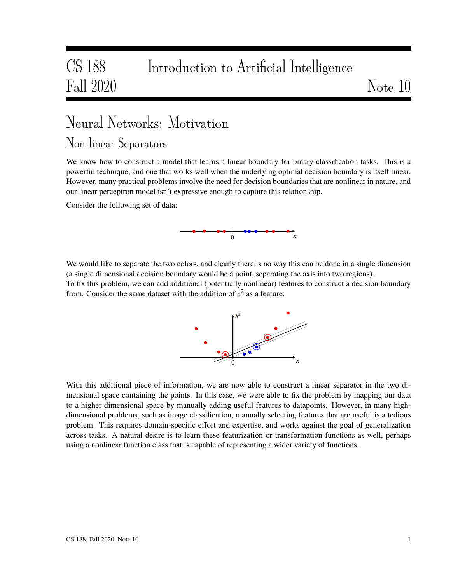## CS 188 Introduction to Artificial Intelligence Fall 2020 Note 10

# Neural Networks: Motivation

#### Non-linear Separators

We know how to construct a model that learns a linear boundary for binary classification tasks. This is a powerful technique, and one that works well when the underlying optimal decision boundary is itself linear. However, many practical problems involve the need for decision boundaries that are nonlinear in nature, and our linear perceptron model isn't expressive enough to capture this relationship.

Consider the following set of data:



We would like to separate the two colors, and clearly there is no way this can be done in a single dimension (a single dimensional decision boundary would be a point, separating the axis into two regions).

To fix this problem, we can add additional (potentially nonlinear) features to construct a decision boundary from. Consider the same dataset with the addition of  $x^2$  as a feature:



With this additional piece of information, we are now able to construct a linear separator in the two dimensional space containing the points. In this case, we were able to fix the problem by mapping our data to a higher dimensional space by manually adding useful features to datapoints. However, in many highdimensional problems, such as image classification, manually selecting features that are useful is a tedious problem. This requires domain-specific effort and expertise, and works against the goal of generalization across tasks. A natural desire is to learn these featurization or transformation functions as well, perhaps using a nonlinear function class that is capable of representing a wider variety of functions.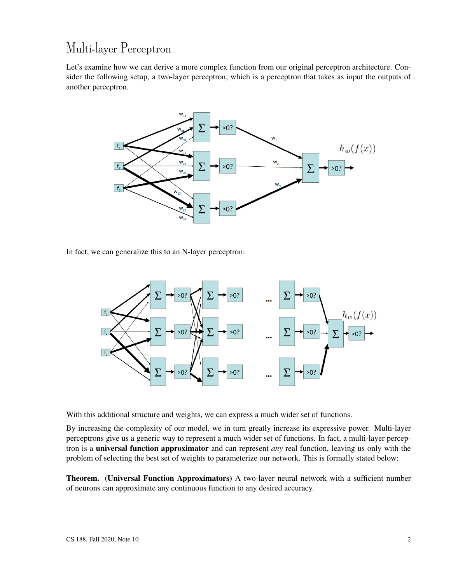## Multi-layer Perceptron

Let's examine how we can derive a more complex function from our original perceptron architecture. Consider the following setup, a two-layer perceptron, which is a perceptron that takes as input the outputs of another perceptron.



In fact, we can generalize this to an N-layer perceptron:



With this additional structure and weights, we can express a much wider set of functions.

By increasing the complexity of our model, we in turn greatly increase its expressive power. Multi-layer perceptrons give us a generic way to represent a much wider set of functions. In fact, a multi-layer perceptron is a universal function approximator and can represent *any* real function, leaving us only with the problem of selecting the best set of weights to parameterize our network. This is formally stated below:

Theorem. (Universal Function Approximators) A two-layer neural network with a sufficient number of neurons can approximate any continuous function to any desired accuracy.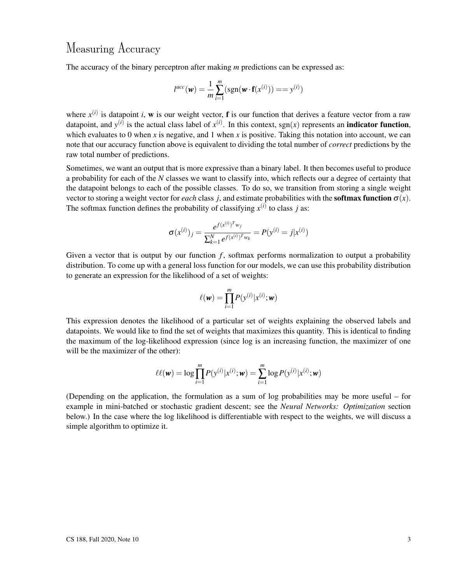#### Measuring Accuracy

The accuracy of the binary perceptron after making *m* predictions can be expressed as:

$$
l^{acc}(\mathbf{w}) = \frac{1}{m} \sum_{i=1}^{m} (\text{sgn}(\mathbf{w} \cdot \mathbf{f}(x^{(i)}))) == y^{(i)})
$$

where  $x^{(i)}$  is datapoint *i*, w is our weight vector, **f** is our function that derives a feature vector from a raw datapoint, and  $y^{(i)}$  is the actual class label of  $x^{(i)}$ . In this context, sgn(x) represents an **indicator function**, which evaluates to 0 when  $x$  is negative, and 1 when  $x$  is positive. Taking this notation into account, we can note that our accuracy function above is equivalent to dividing the total number of *correct* predictions by the raw total number of predictions.

Sometimes, we want an output that is more expressive than a binary label. It then becomes useful to produce a probability for each of the *N* classes we want to classify into, which reflects our a degree of certainty that the datapoint belongs to each of the possible classes. To do so, we transition from storing a single weight vector to storing a weight vector for *each* class *j*, and estimate probabilities with the **softmax function**  $\sigma(x)$ . The softmax function defines the probability of classifying  $x^{(i)}$  to class *j* as:

$$
\sigma(x^{(i)})_j = \frac{e^{f(x^{(i)})^T w_j}}{\sum_{k=1}^N e^{f(x^{(i)})^T w_k}} = P(y^{(i)} = j | x^{(i)})
$$

Given a vector that is output by our function  $f$ , softmax performs normalization to output a probability distribution. To come up with a general loss function for our models, we can use this probability distribution to generate an expression for the likelihood of a set of weights:

$$
\ell(\mathbf{w}) = \prod_{i=1}^m P(\mathbf{y}^{(i)} | \mathbf{x}^{(i)}; \mathbf{w})
$$

This expression denotes the likelihood of a particular set of weights explaining the observed labels and datapoints. We would like to find the set of weights that maximizes this quantity. This is identical to finding the maximum of the log-likelihood expression (since log is an increasing function, the maximizer of one will be the maximizer of the other):

$$
\ell\ell(\mathbf{w}) = \log \prod_{i=1}^{m} P(y^{(i)} | x^{(i)}; \mathbf{w}) = \sum_{i=1}^{m} \log P(y^{(i)} | x^{(i)}; \mathbf{w})
$$

(Depending on the application, the formulation as a sum of log probabilities may be more useful – for example in mini-batched or stochastic gradient descent; see the *Neural Networks: Optimization* section below.) In the case where the log likelihood is differentiable with respect to the weights, we will discuss a simple algorithm to optimize it.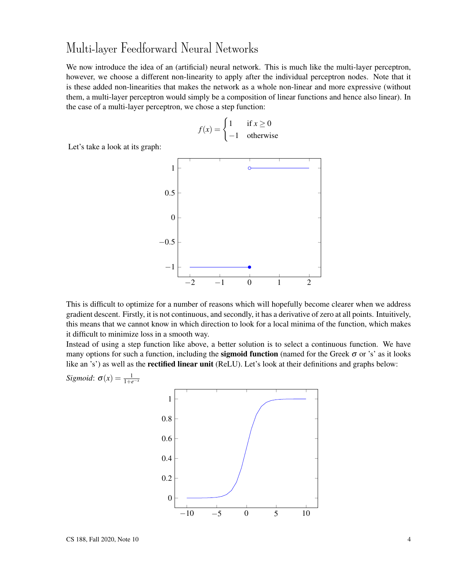#### Multi-layer Feedforward Neural Networks

We now introduce the idea of an (artificial) neural network. This is much like the multi-layer perceptron, however, we choose a different non-linearity to apply after the individual perceptron nodes. Note that it is these added non-linearities that makes the network as a whole non-linear and more expressive (without them, a multi-layer perceptron would simply be a composition of linear functions and hence also linear). In the case of a multi-layer perceptron, we chose a step function:

$$
f(x) = \begin{cases} 1 & \text{if } x \ge 0 \\ -1 & \text{otherwise} \end{cases}
$$

Let's take a look at its graph:



This is difficult to optimize for a number of reasons which will hopefully become clearer when we address gradient descent. Firstly, it is not continuous, and secondly, it has a derivative of zero at all points. Intuitively, this means that we cannot know in which direction to look for a local minima of the function, which makes it difficult to minimize loss in a smooth way.

Instead of using a step function like above, a better solution is to select a continuous function. We have many options for such a function, including the **sigmoid function** (named for the Greek  $\sigma$  or 's' as it looks like an 's') as well as the **rectified linear unit** (ReLU). Let's look at their definitions and graphs below:

−10 −5 0 5 10 0 0.2 0.4 0.6 0.8 1

*Sigmoid*:  $\sigma(x) = \frac{1}{1+e^{-x}}$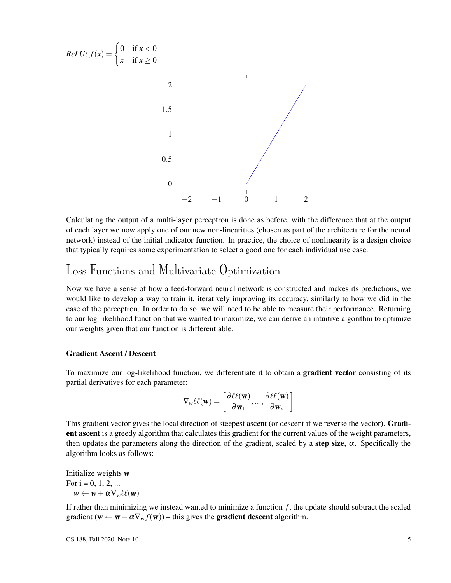

Calculating the output of a multi-layer perceptron is done as before, with the difference that at the output of each layer we now apply one of our new non-linearities (chosen as part of the architecture for the neural network) instead of the initial indicator function. In practice, the choice of nonlinearity is a design choice that typically requires some experimentation to select a good one for each individual use case.

#### Loss Functions and Multivariate Optimization

Now we have a sense of how a feed-forward neural network is constructed and makes its predictions, we would like to develop a way to train it, iteratively improving its accuracy, similarly to how we did in the case of the perceptron. In order to do so, we will need to be able to measure their performance. Returning to our log-likelihood function that we wanted to maximize, we can derive an intuitive algorithm to optimize our weights given that our function is differentiable.

#### Gradient Ascent / Descent

To maximize our log-likelihood function, we differentiate it to obtain a gradient vector consisting of its partial derivatives for each parameter:

$$
\nabla_{w}\ell\ell(\mathbf{w}) = \left[\frac{\partial \ell\ell(\mathbf{w})}{\partial \mathbf{w}_1}, ..., \frac{\partial \ell\ell(\mathbf{w})}{\partial \mathbf{w}_n}\right]
$$

This gradient vector gives the local direction of steepest ascent (or descent if we reverse the vector). **Gradi**ent ascent is a greedy algorithm that calculates this gradient for the current values of the weight parameters, then updates the parameters along the direction of the gradient, scaled by a step size,  $\alpha$ . Specifically the algorithm looks as follows:

Initialize weights *w* For  $i = 0, 1, 2, ...$  $w \leftarrow w + \alpha \nabla_w \ell \ell(w)$ 

If rather than minimizing we instead wanted to minimize a function *f* , the update should subtract the scaled gradient ( $\mathbf{w} \leftarrow \mathbf{w} - \alpha \nabla_{\mathbf{w}} f(\mathbf{w})$ ) – this gives the **gradient descent** algorithm.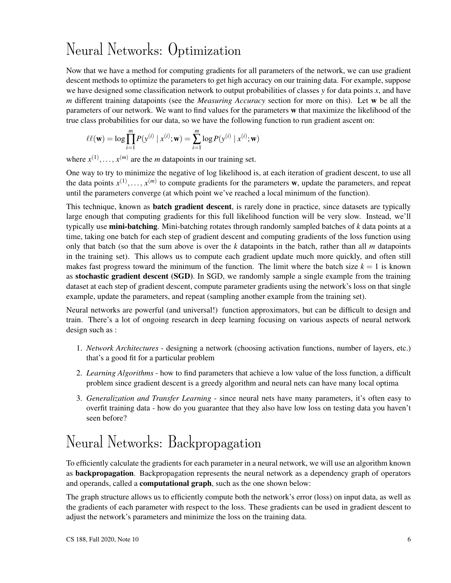## Neural Networks: Optimization

Now that we have a method for computing gradients for all parameters of the network, we can use gradient descent methods to optimize the parameters to get high accuracy on our training data. For example, suppose we have designed some classification network to output probabilities of classes *y* for data points *x*, and have *m* different training datapoints (see the *Measuring Accuracy* section for more on this). Let w be all the parameters of our network. We want to find values for the parameters w that maximize the likelihood of the true class probabilities for our data, so we have the following function to run gradient ascent on:

$$
\ell\ell(\mathbf{w}) = \log \prod_{i=1}^{m} P(y^{(i)} | x^{(i)}; \mathbf{w}) = \sum_{i=1}^{m} \log P(y^{(i)} | x^{(i)}; \mathbf{w})
$$

where  $x^{(1)}, \ldots, x^{(m)}$  are the *m* datapoints in our training set.

One way to try to minimize the negative of log likelihood is, at each iteration of gradient descent, to use all the data points  $x^{(1)},...,x^{(m)}$  to compute gradients for the parameters w, update the parameters, and repeat until the parameters converge (at which point we've reached a local minimum of the function).

This technique, known as **batch gradient descent**, is rarely done in practice, since datasets are typically large enough that computing gradients for this full likelihood function will be very slow. Instead, we'll typically use mini-batching. Mini-batching rotates through randomly sampled batches of *k* data points at a time, taking one batch for each step of gradient descent and computing gradients of the loss function using only that batch (so that the sum above is over the *k* datapoints in the batch, rather than all *m* datapoints in the training set). This allows us to compute each gradient update much more quickly, and often still makes fast progress toward the minimum of the function. The limit where the batch size  $k = 1$  is known as stochastic gradient descent (SGD). In SGD, we randomly sample a single example from the training dataset at each step of gradient descent, compute parameter gradients using the network's loss on that single example, update the parameters, and repeat (sampling another example from the training set).

Neural networks are powerful (and universal!) function approximators, but can be difficult to design and train. There's a lot of ongoing research in deep learning focusing on various aspects of neural network design such as :

- 1. *Network Architectures* designing a network (choosing activation functions, number of layers, etc.) that's a good fit for a particular problem
- 2. *Learning Algorithms* how to find parameters that achieve a low value of the loss function, a difficult problem since gradient descent is a greedy algorithm and neural nets can have many local optima
- 3. *Generalization and Transfer Learning* since neural nets have many parameters, it's often easy to overfit training data - how do you guarantee that they also have low loss on testing data you haven't seen before?

## Neural Networks: Backpropagation

To efficiently calculate the gradients for each parameter in a neural network, we will use an algorithm known as **backpropagation**. Backpropagation represents the neural network as a dependency graph of operators and operands, called a computational graph, such as the one shown below:

The graph structure allows us to efficiently compute both the network's error (loss) on input data, as well as the gradients of each parameter with respect to the loss. These gradients can be used in gradient descent to adjust the network's parameters and minimize the loss on the training data.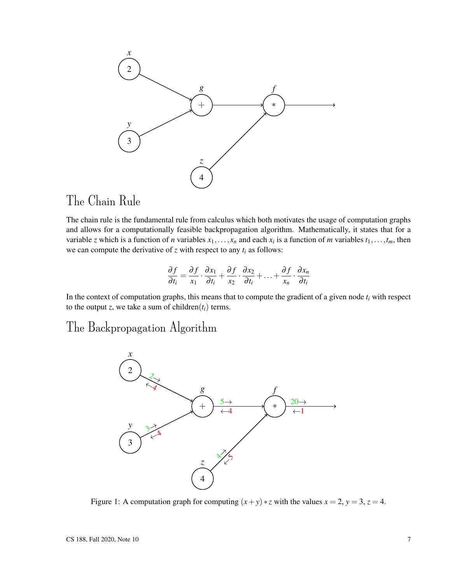

### The Chain Rule

The chain rule is the fundamental rule from calculus which both motivates the usage of computation graphs and allows for a computationally feasible backpropagation algorithm. Mathematically, it states that for a variable *z* which is a function of *n* variables  $x_1, \ldots, x_n$  and each  $x_i$  is a function of *m* variables  $t_1, \ldots, t_m$ , then we can compute the derivative of  $z$  with respect to any  $t_i$  as follows:

$$
\frac{\partial f}{\partial t_i} = \frac{\partial f}{x_1} \cdot \frac{\partial x_1}{\partial t_i} + \frac{\partial f}{x_2} \cdot \frac{\partial x_2}{\partial t_i} + \ldots + \frac{\partial f}{x_n} \cdot \frac{\partial x_n}{\partial t_i}
$$

In the context of computation graphs, this means that to compute the gradient of a given node  $t_i$  with respect to the output *z*, we take a sum of children( $t_i$ ) terms.

#### The Backpropagation Algorithm



Figure 1: A computation graph for computing  $(x + y) * z$  with the values  $x = 2$ ,  $y = 3$ ,  $z = 4$ .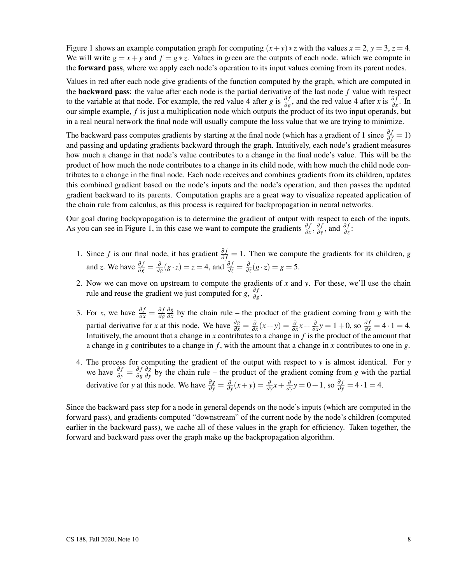Figure 1 shows an example computation graph for computing  $(x+y) * z$  with the values  $x = 2$ ,  $y = 3$ ,  $z = 4$ . We will write  $g = x + y$  and  $f = g * z$ . Values in green are the outputs of each node, which we compute in the **forward pass**, where we apply each node's operation to its input values coming from its parent nodes.

Values in red after each node give gradients of the function computed by the graph, which are computed in the backward pass: the value after each node is the partial derivative of the last node *f* value with respect to the variable at that node. For example, the red value 4 after *g* is  $\frac{\partial f}{\partial g}$ , and the red value 4 after *x* is  $\frac{\partial f}{\partial x}$ . In our simple example, *f* is just a multiplication node which outputs the product of its two input operands, but in a real neural network the final node will usually compute the loss value that we are trying to minimize.

The backward pass computes gradients by starting at the final node (which has a gradient of 1 since  $\frac{\partial f}{\partial f} = 1$ ) and passing and updating gradients backward through the graph. Intuitively, each node's gradient measures how much a change in that node's value contributes to a change in the final node's value. This will be the product of how much the node contributes to a change in its child node, with how much the child node contributes to a change in the final node. Each node receives and combines gradients from its children, updates this combined gradient based on the node's inputs and the node's operation, and then passes the updated gradient backward to its parents. Computation graphs are a great way to visualize repeated application of the chain rule from calculus, as this process is required for backpropagation in neural networks.

Our goal during backpropagation is to determine the gradient of output with respect to each of the inputs. As you can see in Figure 1, in this case we want to compute the gradients  $\frac{\partial f}{\partial x}$ ,  $\frac{\partial f}{\partial y}$  $\frac{\partial f}{\partial y}$ , and  $\frac{\partial f}{\partial z}$ :

- 1. Since *f* is our final node, it has gradient  $\frac{\partial f}{\partial f} = 1$ . Then we compute the gradients for its children, *g* and *z*. We have  $\frac{\partial f}{\partial g} = \frac{\partial}{\partial g} (g \cdot z) = z = 4$ , and  $\frac{\partial f}{\partial z} = \frac{\partial}{\partial z} (g \cdot z) = g = 5$ .
- 2. Now we can move on upstream to compute the gradients of *x* and *y*. For these, we'll use the chain rule and reuse the gradient we just computed for *g*,  $\frac{\partial f}{\partial q}$ ∂*g* .
- 3. For *x*, we have  $\frac{\partial f}{\partial x} = \frac{\partial f}{\partial g}$ ∂*g* ∂*g*  $\frac{\partial g}{\partial x}$  by the chain rule – the product of the gradient coming from *g* with the partial derivative for *x* at this node. We have  $\frac{\partial g}{\partial x} = \frac{\partial}{\partial x}(x+y) = \frac{\partial}{\partial x}x + \frac{\partial}{\partial x}y = 1+0$ , so  $\frac{\partial f}{\partial x} = 4 \cdot 1 = 4$ . Intuitively, the amount that a change in *x* contributes to a change in *f* is the product of the amount that a change in *g* contributes to a change in *f* , with the amount that a change in *x* contributes to one in *g*.
- 4. The process for computing the gradient of the output with respect to *y* is almost identical. For *y* we have  $\frac{\partial f}{\partial y} = \frac{\partial f}{\partial g}$ ∂*g* ∂*g*  $\frac{\partial g}{\partial y}$  by the chain rule – the product of the gradient coming from *g* with the partial derivative for *y* at this node. We have  $\frac{\partial g}{\partial y} = \frac{\partial}{\partial y}(x+y) = \frac{\partial}{\partial y}x + \frac{\partial}{\partial y}y = 0 + 1$ , so  $\frac{\partial f}{\partial y} = 4 \cdot 1 = 4$ .

Since the backward pass step for a node in general depends on the node's inputs (which are computed in the forward pass), and gradients computed "downstream" of the current node by the node's children (computed earlier in the backward pass), we cache all of these values in the graph for efficiency. Taken together, the forward and backward pass over the graph make up the backpropagation algorithm.